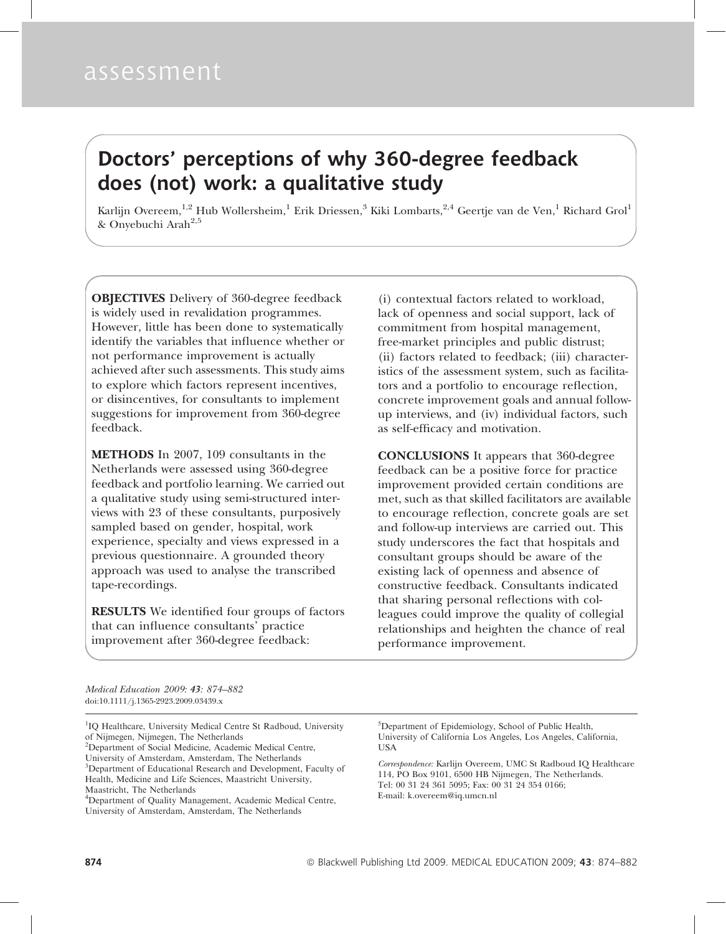# assessment

# Doctors' perceptions of why 360-degree feedback does (not) work: a qualitative study

Karlijn Overeem,<sup>1,2</sup> Hub Wollersheim,<sup>1</sup> Erik Driessen,<sup>3</sup> Kiki Lombarts,<sup>2,4</sup> Geertje van de Ven,<sup>1</sup> Richard Grol<sup>1</sup> & Onyebuchi Arah<sup>2,5</sup>

OBJECTIVES Delivery of 360-degree feedback is widely used in revalidation programmes. However, little has been done to systematically identify the variables that influence whether or not performance improvement is actually achieved after such assessments. This study aims to explore which factors represent incentives, or disincentives, for consultants to implement suggestions for improvement from 360-degree feedback.

METHODS In 2007, 109 consultants in the Netherlands were assessed using 360-degree feedback and portfolio learning. We carried out a qualitative study using semi-structured interviews with 23 of these consultants, purposively sampled based on gender, hospital, work experience, specialty and views expressed in a previous questionnaire. A grounded theory approach was used to analyse the transcribed tape-recordings.

RESULTS We identified four groups of factors that can influence consultants' practice improvement after 360-degree feedback:

(i) contextual factors related to workload, lack of openness and social support, lack of commitment from hospital management, free-market principles and public distrust; (ii) factors related to feedback; (iii) characteristics of the assessment system, such as facilitators and a portfolio to encourage reflection, concrete improvement goals and annual followup interviews, and (iv) individual factors, such as self-efficacy and motivation.

CONCLUSIONS It appears that 360-degree feedback can be a positive force for practice improvement provided certain conditions are met, such as that skilled facilitators are available to encourage reflection, concrete goals are set and follow-up interviews are carried out. This study underscores the fact that hospitals and consultant groups should be aware of the existing lack of openness and absence of constructive feedback. Consultants indicated that sharing personal reflections with colleagues could improve the quality of collegial relationships and heighten the chance of real performance improvement.

Medical Education 2009: 43: 874–882 doi:10.1111/j.1365-2923.2009.03439.x

<sup>1</sup>IQ Healthcare, University Medical Centre St Radboud, University of Nijmegen, Nijmegen, The Netherlands 2 Department of Social Medicine, Academic Medical Centre,

University of Amsterdam, Amsterdam, The Netherlands <sup>3</sup>Department of Educational Research and Development, Faculty of Health, Medicine and Life Sciences, Maastricht University, Maastricht, The Netherlands

<sup>4</sup>Department of Quality Management, Academic Medical Centre, University of Amsterdam, Amsterdam, The Netherlands

5 Department of Epidemiology, School of Public Health, University of California Los Angeles, Los Angeles, California, **TISA** 

Correspondence: Karlijn Overeem, UMC St Radboud IQ Healthcare 114, PO Box 9101, 6500 HB Nijmegen, The Netherlands. Tel: 00 31 24 361 5095; Fax: 00 31 24 354 0166; E-mail: k.overeem@iq.umcn.nl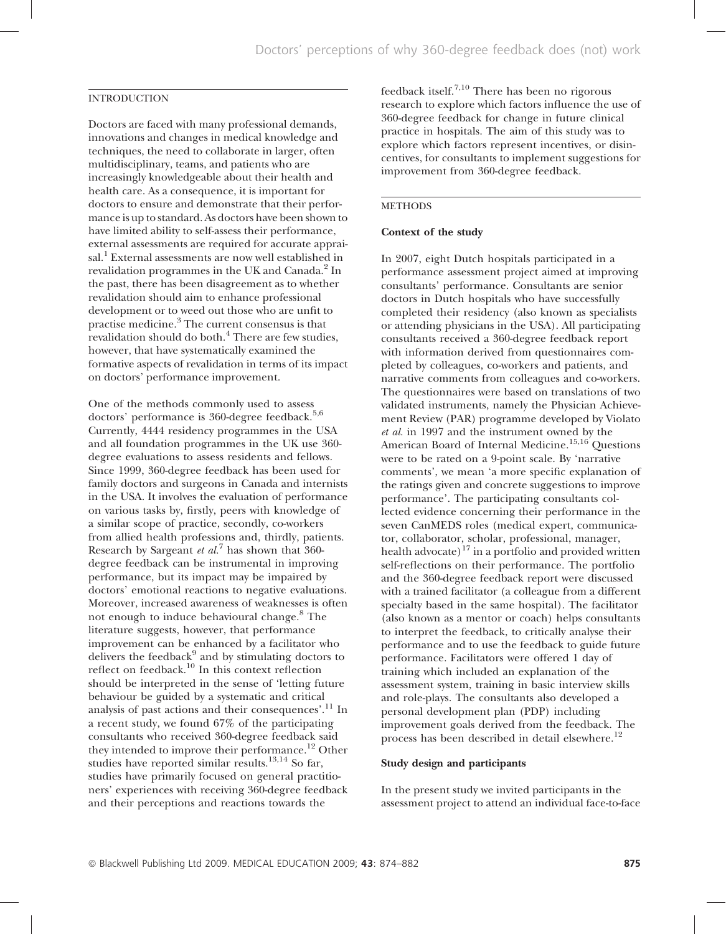# INTRODUCTION

Doctors are faced with many professional demands, innovations and changes in medical knowledge and techniques, the need to collaborate in larger, often multidisciplinary, teams, and patients who are increasingly knowledgeable about their health and health care. As a consequence, it is important for doctors to ensure and demonstrate that their performance is up to standard. As doctors have been shown to have limited ability to self-assess their performance, external assessments are required for accurate appraisal.<sup>1</sup> External assessments are now well established in revalidation programmes in the UK and Canada.<sup>2</sup> In the past, there has been disagreement as to whether revalidation should aim to enhance professional development or to weed out those who are unfit to practise medicine.<sup>3</sup> The current consensus is that revalidation should do both.<sup>4</sup> There are few studies, however, that have systematically examined the formative aspects of revalidation in terms of its impact on doctors' performance improvement.

One of the methods commonly used to assess doctors' performance is 360-degree feedback.<sup>5,6</sup> Currently, 4444 residency programmes in the USA and all foundation programmes in the UK use 360 degree evaluations to assess residents and fellows. Since 1999, 360-degree feedback has been used for family doctors and surgeons in Canada and internists in the USA. It involves the evaluation of performance on various tasks by, firstly, peers with knowledge of a similar scope of practice, secondly, co-workers from allied health professions and, thirdly, patients. Research by Sargeant *et al.*<sup>7</sup> has shown that 360degree feedback can be instrumental in improving performance, but its impact may be impaired by doctors' emotional reactions to negative evaluations. Moreover, increased awareness of weaknesses is often not enough to induce behavioural change.<sup>8</sup> The literature suggests, however, that performance improvement can be enhanced by a facilitator who delivers the feedback $9$  and by stimulating doctors to reflect on feedback.<sup>10</sup> In this context reflection should be interpreted in the sense of 'letting future behaviour be guided by a systematic and critical analysis of past actions and their consequences'.<sup>11</sup> In a recent study, we found 67% of the participating consultants who received 360-degree feedback said they intended to improve their performance.<sup>12</sup> Other studies have reported similar results.<sup>13,14</sup> So far, studies have primarily focused on general practitioners' experiences with receiving 360-degree feedback and their perceptions and reactions towards the

feedback itself.7,10 There has been no rigorous research to explore which factors influence the use of 360-degree feedback for change in future clinical practice in hospitals. The aim of this study was to explore which factors represent incentives, or disincentives, for consultants to implement suggestions for improvement from 360-degree feedback.

## **METHODS**

## Context of the study

In 2007, eight Dutch hospitals participated in a performance assessment project aimed at improving consultants' performance. Consultants are senior doctors in Dutch hospitals who have successfully completed their residency (also known as specialists or attending physicians in the USA). All participating consultants received a 360-degree feedback report with information derived from questionnaires completed by colleagues, co-workers and patients, and narrative comments from colleagues and co-workers. The questionnaires were based on translations of two validated instruments, namely the Physician Achievement Review (PAR) programme developed by Violato et al. in 1997 and the instrument owned by the American Board of Internal Medicine.<sup>15,16</sup> Ouestions were to be rated on a 9-point scale. By 'narrative comments', we mean 'a more specific explanation of the ratings given and concrete suggestions to improve performance'. The participating consultants collected evidence concerning their performance in the seven CanMEDS roles (medical expert, communicator, collaborator, scholar, professional, manager, health advocate)<sup>17</sup> in a portfolio and provided written self-reflections on their performance. The portfolio and the 360-degree feedback report were discussed with a trained facilitator (a colleague from a different specialty based in the same hospital). The facilitator (also known as a mentor or coach) helps consultants to interpret the feedback, to critically analyse their performance and to use the feedback to guide future performance. Facilitators were offered 1 day of training which included an explanation of the assessment system, training in basic interview skills and role-plays. The consultants also developed a personal development plan (PDP) including improvement goals derived from the feedback. The process has been described in detail elsewhere.<sup>12</sup>

#### Study design and participants

In the present study we invited participants in the assessment project to attend an individual face-to-face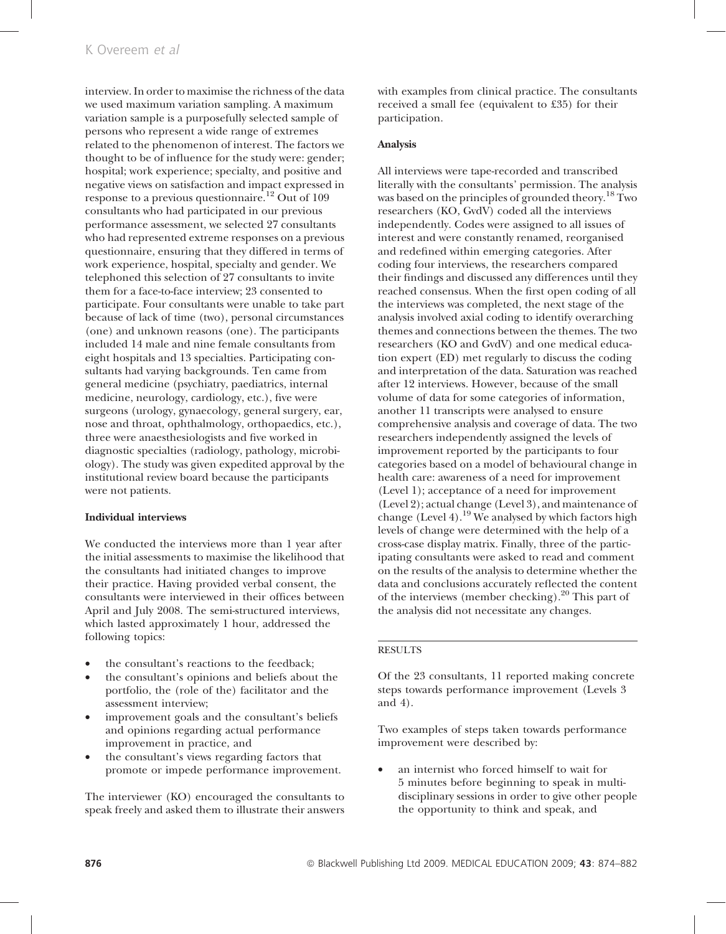interview. In order to maximise the richness of the data we used maximum variation sampling. A maximum variation sample is a purposefully selected sample of persons who represent a wide range of extremes related to the phenomenon of interest. The factors we thought to be of influence for the study were: gender; hospital; work experience; specialty, and positive and negative views on satisfaction and impact expressed in response to a previous questionnaire.<sup>12</sup> Out of 109 consultants who had participated in our previous performance assessment, we selected 27 consultants who had represented extreme responses on a previous questionnaire, ensuring that they differed in terms of work experience, hospital, specialty and gender. We telephoned this selection of 27 consultants to invite them for a face-to-face interview; 23 consented to participate. Four consultants were unable to take part because of lack of time (two), personal circumstances (one) and unknown reasons (one). The participants included 14 male and nine female consultants from eight hospitals and 13 specialties. Participating consultants had varying backgrounds. Ten came from general medicine (psychiatry, paediatrics, internal medicine, neurology, cardiology, etc.), five were surgeons (urology, gynaecology, general surgery, ear, nose and throat, ophthalmology, orthopaedics, etc.), three were anaesthesiologists and five worked in diagnostic specialties (radiology, pathology, microbiology). The study was given expedited approval by the institutional review board because the participants were not patients.

## Individual interviews

We conducted the interviews more than 1 year after the initial assessments to maximise the likelihood that the consultants had initiated changes to improve their practice. Having provided verbal consent, the consultants were interviewed in their offices between April and July 2008. The semi-structured interviews, which lasted approximately 1 hour, addressed the following topics:

- the consultant's reactions to the feedback;
- the consultant's opinions and beliefs about the portfolio, the (role of the) facilitator and the assessment interview;
- improvement goals and the consultant's beliefs and opinions regarding actual performance improvement in practice, and
- the consultant's views regarding factors that promote or impede performance improvement.

The interviewer (KO) encouraged the consultants to speak freely and asked them to illustrate their answers with examples from clinical practice. The consultants received a small fee (equivalent to £35) for their participation.

## Analysis

All interviews were tape-recorded and transcribed literally with the consultants' permission. The analysis was based on the principles of grounded theory.<sup>18</sup> Two researchers (KO, GvdV) coded all the interviews independently. Codes were assigned to all issues of interest and were constantly renamed, reorganised and redefined within emerging categories. After coding four interviews, the researchers compared their findings and discussed any differences until they reached consensus. When the first open coding of all the interviews was completed, the next stage of the analysis involved axial coding to identify overarching themes and connections between the themes. The two researchers (KO and GvdV) and one medical education expert (ED) met regularly to discuss the coding and interpretation of the data. Saturation was reached after 12 interviews. However, because of the small volume of data for some categories of information, another 11 transcripts were analysed to ensure comprehensive analysis and coverage of data. The two researchers independently assigned the levels of improvement reported by the participants to four categories based on a model of behavioural change in health care: awareness of a need for improvement (Level 1); acceptance of a need for improvement (Level 2); actual change (Level 3), and maintenance of change (Level 4).<sup>19</sup> We analysed by which factors high levels of change were determined with the help of a cross-case display matrix. Finally, three of the participating consultants were asked to read and comment on the results of the analysis to determine whether the data and conclusions accurately reflected the content of the interviews (member checking). $^{20}$  This part of the analysis did not necessitate any changes.

#### RESULTS

Of the 23 consultants, 11 reported making concrete steps towards performance improvement (Levels 3 and 4).

Two examples of steps taken towards performance improvement were described by:

an internist who forced himself to wait for 5 minutes before beginning to speak in multidisciplinary sessions in order to give other people the opportunity to think and speak, and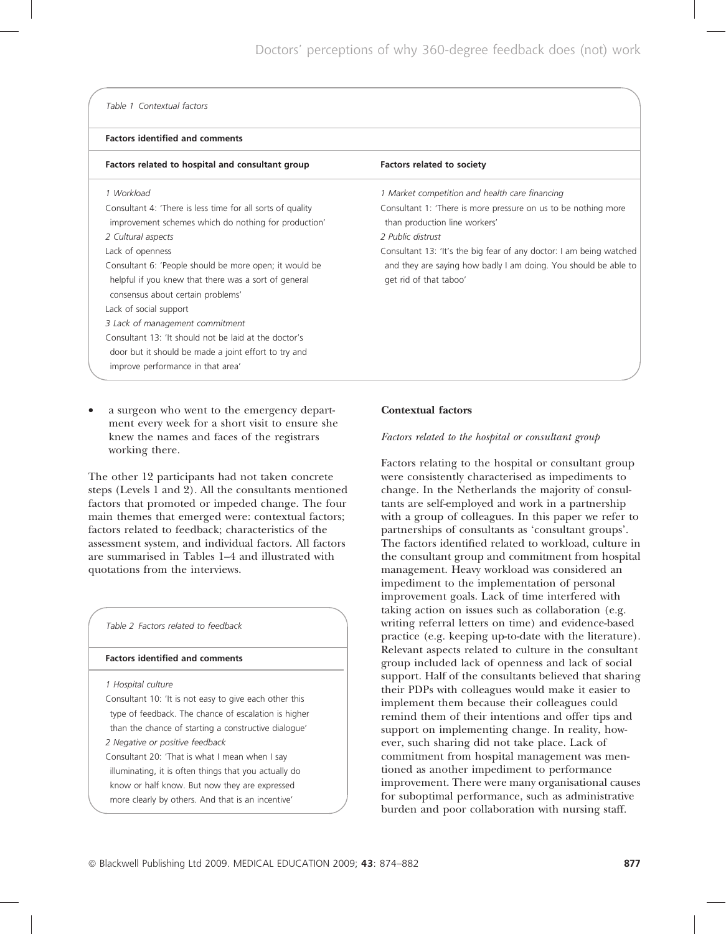#### Table 1 Contextual factors

#### Factors identified and comments

| Factors related to hospital and consultant group                                                                                                                                                                                                                                                                                                                                                                                                                                                                                                     | <b>Factors related to society</b>                                                                                                                                                                                                                                                                                                          |
|------------------------------------------------------------------------------------------------------------------------------------------------------------------------------------------------------------------------------------------------------------------------------------------------------------------------------------------------------------------------------------------------------------------------------------------------------------------------------------------------------------------------------------------------------|--------------------------------------------------------------------------------------------------------------------------------------------------------------------------------------------------------------------------------------------------------------------------------------------------------------------------------------------|
| 1 Workload<br>Consultant 4: 'There is less time for all sorts of quality<br>improvement schemes which do nothing for production'<br>2 Cultural aspects<br>Lack of openness<br>Consultant 6: 'People should be more open; it would be<br>helpful if you knew that there was a sort of general<br>consensus about certain problems'<br>Lack of social support<br>3 Lack of management commitment<br>Consultant 13: 'It should not be laid at the doctor's<br>door but it should be made a joint effort to try and<br>improve performance in that area' | 1 Market competition and health care financing<br>Consultant 1: 'There is more pressure on us to be nothing more<br>than production line workers'<br>2 Public distrust<br>Consultant 13: 'It's the big fear of any doctor: I am being watched<br>and they are saying how badly I am doing. You should be able to<br>get rid of that taboo' |
|                                                                                                                                                                                                                                                                                                                                                                                                                                                                                                                                                      |                                                                                                                                                                                                                                                                                                                                            |

a surgeon who went to the emergency department every week for a short visit to ensure she knew the names and faces of the registrars working there.

The other 12 participants had not taken concrete steps (Levels 1 and 2). All the consultants mentioned factors that promoted or impeded change. The four main themes that emerged were: contextual factors; factors related to feedback; characteristics of the assessment system, and individual factors. All factors are summarised in Tables 1–4 and illustrated with quotations from the interviews.

| Table 2 Factors related to feedback                    |  |
|--------------------------------------------------------|--|
| <b>Factors identified and comments</b>                 |  |
| 1 Hospital culture                                     |  |
| Consultant 10: 'It is not easy to give each other this |  |
| type of feedback. The chance of escalation is higher   |  |
| than the chance of starting a constructive dialogue'   |  |
| 2 Negative or positive feedback                        |  |
| Consultant 20: 'That is what I mean when I say         |  |
| illuminating, it is often things that you actually do  |  |
| know or half know. But now they are expressed          |  |
| more clearly by others. And that is an incentive'      |  |

#### Contextual factors

#### Factors related to the hospital or consultant group

Factors relating to the hospital or consultant group were consistently characterised as impediments to change. In the Netherlands the majority of consultants are self-employed and work in a partnership with a group of colleagues. In this paper we refer to partnerships of consultants as 'consultant groups'. The factors identified related to workload, culture in the consultant group and commitment from hospital management. Heavy workload was considered an impediment to the implementation of personal improvement goals. Lack of time interfered with taking action on issues such as collaboration (e.g. writing referral letters on time) and evidence-based practice (e.g. keeping up-to-date with the literature). Relevant aspects related to culture in the consultant group included lack of openness and lack of social support. Half of the consultants believed that sharing their PDPs with colleagues would make it easier to implement them because their colleagues could remind them of their intentions and offer tips and support on implementing change. In reality, however, such sharing did not take place. Lack of commitment from hospital management was mentioned as another impediment to performance improvement. There were many organisational causes for suboptimal performance, such as administrative burden and poor collaboration with nursing staff.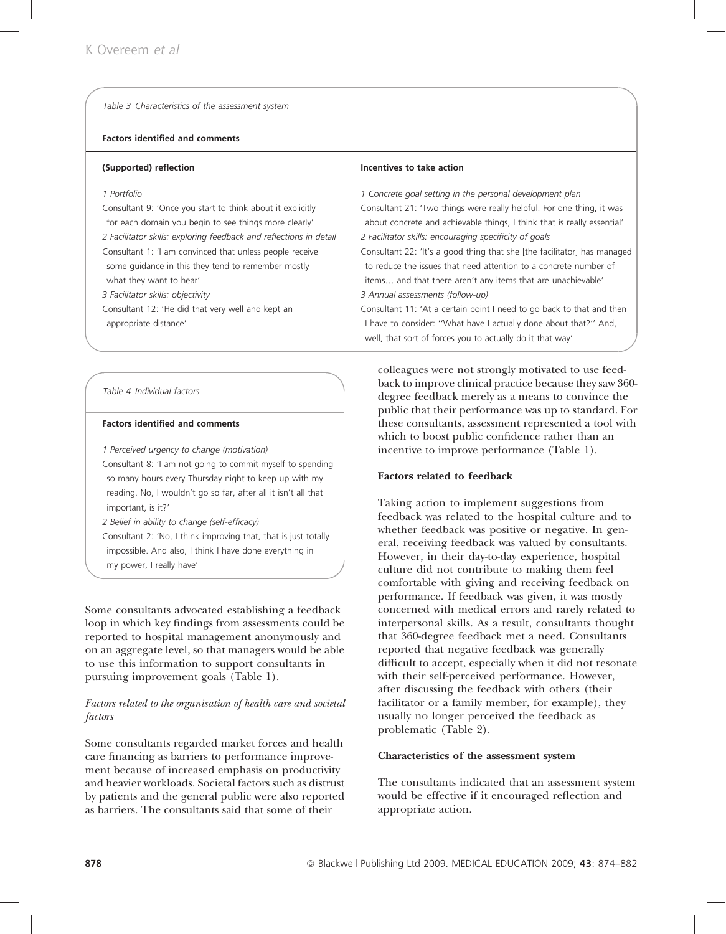# Factors identified and comments

| (Supported) reflection                                                                                                                                                                                                                                                                                                                                                                                                                          | Incentives to take action                                                                                                                                                                                                                                                                                                                                                                                                                                                                                                                                                                           |
|-------------------------------------------------------------------------------------------------------------------------------------------------------------------------------------------------------------------------------------------------------------------------------------------------------------------------------------------------------------------------------------------------------------------------------------------------|-----------------------------------------------------------------------------------------------------------------------------------------------------------------------------------------------------------------------------------------------------------------------------------------------------------------------------------------------------------------------------------------------------------------------------------------------------------------------------------------------------------------------------------------------------------------------------------------------------|
| 1 Portfolio<br>Consultant 9: 'Once you start to think about it explicitly<br>for each domain you begin to see things more clearly'<br>2 Facilitator skills: exploring feedback and reflections in detail<br>Consultant 1: 'I am convinced that unless people receive<br>some quidance in this they tend to remember mostly<br>what they want to hear'<br>3 Facilitator skills: objectivity<br>Consultant 12: 'He did that very well and kept an | 1 Concrete goal setting in the personal development plan<br>Consultant 21: 'Two things were really helpful. For one thing, it was<br>about concrete and achievable things, I think that is really essential'<br>2 Facilitator skills: encouraging specificity of goals<br>Consultant 22: 'It's a good thing that she [the facilitator] has managed<br>to reduce the issues that need attention to a concrete number of<br>items and that there aren't any items that are unachievable'<br>3 Annual assessments (follow-up)<br>Consultant 11: 'At a certain point I need to go back to that and then |
| appropriate distance'                                                                                                                                                                                                                                                                                                                                                                                                                           | I have to consider: "What have I actually done about that?" And,<br>well, that sort of forces you to actually do it that way'                                                                                                                                                                                                                                                                                                                                                                                                                                                                       |

## Table 4 Individual factors

#### Factors identified and comments

1 Perceived urgency to change (motivation)

Consultant 8: 'I am not going to commit myself to spending so many hours every Thursday night to keep up with my reading. No, I wouldn't go so far, after all it isn't all that important, is it?'

2 Belief in ability to change (self-efficacy) Consultant 2: 'No, I think improving that, that is just totally impossible. And also, I think I have done everything in my power, I really have'

Some consultants advocated establishing a feedback loop in which key findings from assessments could be reported to hospital management anonymously and on an aggregate level, so that managers would be able to use this information to support consultants in pursuing improvement goals (Table 1).

# Factors related to the organisation of health care and societal factors

Some consultants regarded market forces and health care financing as barriers to performance improvement because of increased emphasis on productivity and heavier workloads. Societal factors such as distrust by patients and the general public were also reported as barriers. The consultants said that some of their

colleagues were not strongly motivated to use feedback to improve clinical practice because they saw 360 degree feedback merely as a means to convince the public that their performance was up to standard. For these consultants, assessment represented a tool with which to boost public confidence rather than an incentive to improve performance (Table 1).

# Factors related to feedback

Taking action to implement suggestions from feedback was related to the hospital culture and to whether feedback was positive or negative. In general, receiving feedback was valued by consultants. However, in their day-to-day experience, hospital culture did not contribute to making them feel comfortable with giving and receiving feedback on performance. If feedback was given, it was mostly concerned with medical errors and rarely related to interpersonal skills. As a result, consultants thought that 360-degree feedback met a need. Consultants reported that negative feedback was generally difficult to accept, especially when it did not resonate with their self-perceived performance. However, after discussing the feedback with others (their facilitator or a family member, for example), they usually no longer perceived the feedback as problematic (Table 2).

## Characteristics of the assessment system

The consultants indicated that an assessment system would be effective if it encouraged reflection and appropriate action.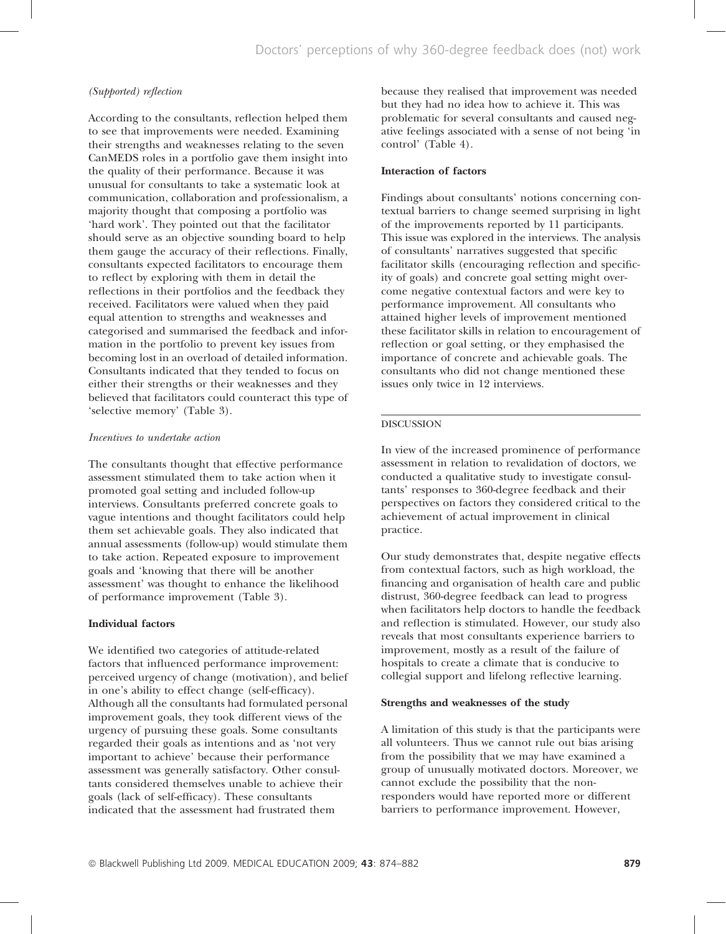#### (Supported) reflection

According to the consultants, reflection helped them to see that improvements were needed. Examining their strengths and weaknesses relating to the seven CanMEDS roles in a portfolio gave them insight into the quality of their performance. Because it was unusual for consultants to take a systematic look at communication, collaboration and professionalism, a majority thought that composing a portfolio was 'hard work'. They pointed out that the facilitator should serve as an objective sounding board to help them gauge the accuracy of their reflections. Finally, consultants expected facilitators to encourage them to reflect by exploring with them in detail the reflections in their portfolios and the feedback they received. Facilitators were valued when they paid equal attention to strengths and weaknesses and categorised and summarised the feedback and information in the portfolio to prevent key issues from becoming lost in an overload of detailed information. Consultants indicated that they tended to focus on either their strengths or their weaknesses and they believed that facilitators could counteract this type of 'selective memory' (Table 3).

#### Incentives to undertake action

The consultants thought that effective performance assessment stimulated them to take action when it promoted goal setting and included follow-up interviews. Consultants preferred concrete goals to vague intentions and thought facilitators could help them set achievable goals. They also indicated that annual assessments (follow-up) would stimulate them to take action. Repeated exposure to improvement goals and 'knowing that there will be another assessment' was thought to enhance the likelihood of performance improvement (Table 3).

#### Individual factors

We identified two categories of attitude-related factors that influenced performance improvement: perceived urgency of change (motivation), and belief in one's ability to effect change (self-efficacy). Although all the consultants had formulated personal improvement goals, they took different views of the urgency of pursuing these goals. Some consultants regarded their goals as intentions and as 'not very important to achieve' because their performance assessment was generally satisfactory. Other consultants considered themselves unable to achieve their goals (lack of self-efficacy). These consultants indicated that the assessment had frustrated them

because they realised that improvement was needed but they had no idea how to achieve it. This was problematic for several consultants and caused negative feelings associated with a sense of not being 'in control' (Table 4).

#### Interaction of factors

Findings about consultants' notions concerning contextual barriers to change seemed surprising in light of the improvements reported by 11 participants. This issue was explored in the interviews. The analysis of consultants' narratives suggested that specific facilitator skills (encouraging reflection and specificity of goals) and concrete goal setting might overcome negative contextual factors and were key to performance improvement. All consultants who attained higher levels of improvement mentioned these facilitator skills in relation to encouragement of reflection or goal setting, or they emphasised the importance of concrete and achievable goals. The consultants who did not change mentioned these issues only twice in 12 interviews.

### DISCUSSION

In view of the increased prominence of performance assessment in relation to revalidation of doctors, we conducted a qualitative study to investigate consultants' responses to 360-degree feedback and their perspectives on factors they considered critical to the achievement of actual improvement in clinical practice.

Our study demonstrates that, despite negative effects from contextual factors, such as high workload, the financing and organisation of health care and public distrust, 360-degree feedback can lead to progress when facilitators help doctors to handle the feedback and reflection is stimulated. However, our study also reveals that most consultants experience barriers to improvement, mostly as a result of the failure of hospitals to create a climate that is conducive to collegial support and lifelong reflective learning.

#### Strengths and weaknesses of the study

A limitation of this study is that the participants were all volunteers. Thus we cannot rule out bias arising from the possibility that we may have examined a group of unusually motivated doctors. Moreover, we cannot exclude the possibility that the nonresponders would have reported more or different barriers to performance improvement. However,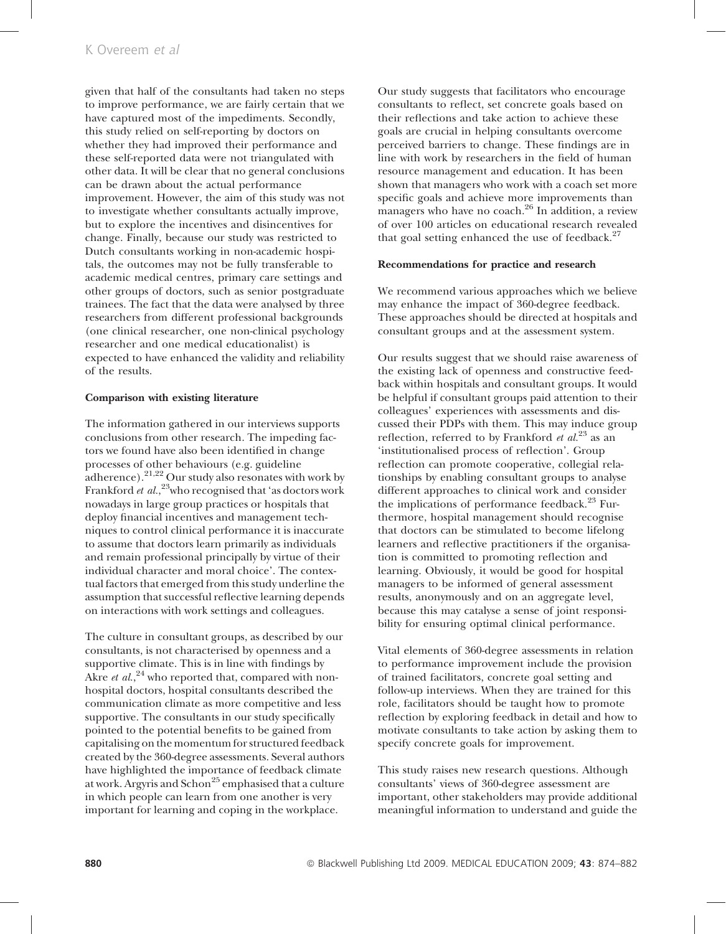given that half of the consultants had taken no steps to improve performance, we are fairly certain that we have captured most of the impediments. Secondly, this study relied on self-reporting by doctors on whether they had improved their performance and these self-reported data were not triangulated with other data. It will be clear that no general conclusions can be drawn about the actual performance improvement. However, the aim of this study was not to investigate whether consultants actually improve, but to explore the incentives and disincentives for change. Finally, because our study was restricted to Dutch consultants working in non-academic hospitals, the outcomes may not be fully transferable to academic medical centres, primary care settings and other groups of doctors, such as senior postgraduate trainees. The fact that the data were analysed by three researchers from different professional backgrounds (one clinical researcher, one non-clinical psychology researcher and one medical educationalist) is expected to have enhanced the validity and reliability of the results.

#### Comparison with existing literature

The information gathered in our interviews supports conclusions from other research. The impeding factors we found have also been identified in change processes of other behaviours (e.g. guideline adherence). $2^{1,22}$  Our study also resonates with work by Frankford et al.,<sup>23</sup>who recognised that 'as doctors work nowadays in large group practices or hospitals that deploy financial incentives and management techniques to control clinical performance it is inaccurate to assume that doctors learn primarily as individuals and remain professional principally by virtue of their individual character and moral choice'. The contextual factors that emerged from this study underline the assumption that successful reflective learning depends on interactions with work settings and colleagues.

The culture in consultant groups, as described by our consultants, is not characterised by openness and a supportive climate. This is in line with findings by Akre *et al.*,<sup>24</sup> who reported that, compared with nonhospital doctors, hospital consultants described the communication climate as more competitive and less supportive. The consultants in our study specifically pointed to the potential benefits to be gained from capitalising on the momentum for structured feedback created by the 360-degree assessments. Several authors have highlighted the importance of feedback climate at work. Argyris and Schon<sup>25</sup> emphasised that a culture in which people can learn from one another is very important for learning and coping in the workplace.

Our study suggests that facilitators who encourage consultants to reflect, set concrete goals based on their reflections and take action to achieve these goals are crucial in helping consultants overcome perceived barriers to change. These findings are in line with work by researchers in the field of human resource management and education. It has been shown that managers who work with a coach set more specific goals and achieve more improvements than managers who have no coach.<sup>26</sup> In addition, a review of over 100 articles on educational research revealed that goal setting enhanced the use of feedback. $27$ 

## Recommendations for practice and research

We recommend various approaches which we believe may enhance the impact of 360-degree feedback. These approaches should be directed at hospitals and consultant groups and at the assessment system.

Our results suggest that we should raise awareness of the existing lack of openness and constructive feedback within hospitals and consultant groups. It would be helpful if consultant groups paid attention to their colleagues' experiences with assessments and discussed their PDPs with them. This may induce group reflection, referred to by Frankford et  $al^{23}$  as an 'institutionalised process of reflection'. Group reflection can promote cooperative, collegial relationships by enabling consultant groups to analyse different approaches to clinical work and consider the implications of performance feedback.<sup>23</sup> Furthermore, hospital management should recognise that doctors can be stimulated to become lifelong learners and reflective practitioners if the organisation is committed to promoting reflection and learning. Obviously, it would be good for hospital managers to be informed of general assessment results, anonymously and on an aggregate level, because this may catalyse a sense of joint responsibility for ensuring optimal clinical performance.

Vital elements of 360-degree assessments in relation to performance improvement include the provision of trained facilitators, concrete goal setting and follow-up interviews. When they are trained for this role, facilitators should be taught how to promote reflection by exploring feedback in detail and how to motivate consultants to take action by asking them to specify concrete goals for improvement.

This study raises new research questions. Although consultants' views of 360-degree assessment are important, other stakeholders may provide additional meaningful information to understand and guide the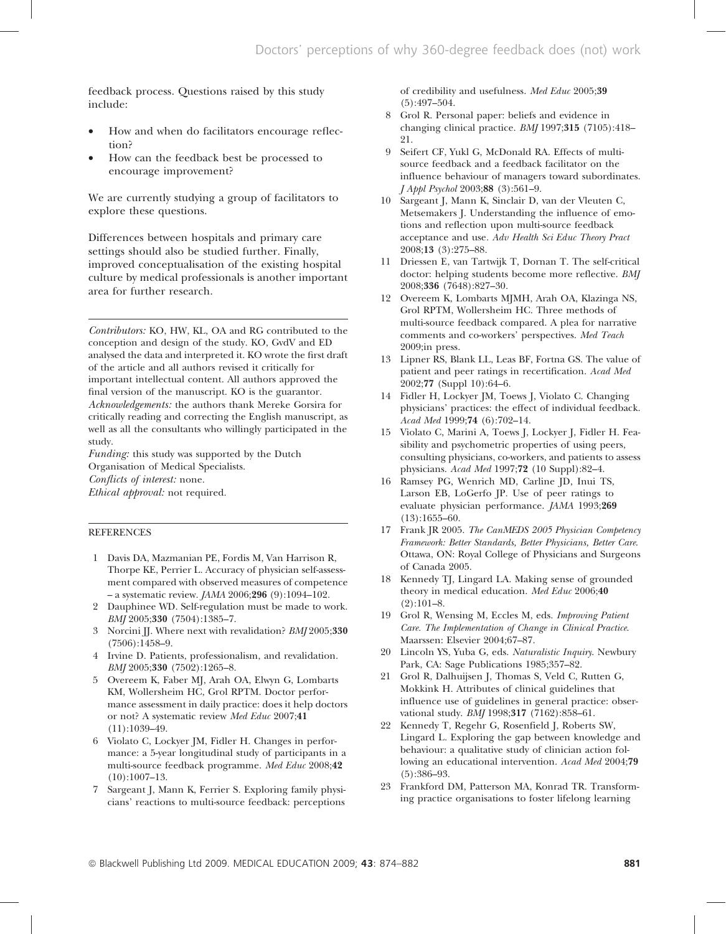feedback process. Questions raised by this study include:

- How and when do facilitators encourage reflection?
- How can the feedback best be processed to encourage improvement?

We are currently studying a group of facilitators to explore these questions.

Differences between hospitals and primary care settings should also be studied further. Finally, improved conceptualisation of the existing hospital culture by medical professionals is another important area for further research.

Contributors: KO, HW, KL, OA and RG contributed to the conception and design of the study. KO, GvdV and ED analysed the data and interpreted it. KO wrote the first draft of the article and all authors revised it critically for important intellectual content. All authors approved the final version of the manuscript. KO is the guarantor. Acknowledgements: the authors thank Mereke Gorsira for critically reading and correcting the English manuscript, as well as all the consultants who willingly participated in the study.

Funding: this study was supported by the Dutch Organisation of Medical Specialists. Conflicts of interest: none. Ethical approval: not required.

#### REFERENCES

- 1 Davis DA, Mazmanian PE, Fordis M, Van Harrison R, Thorpe KE, Perrier L. Accuracy of physician self-assessment compared with observed measures of competence – a systematic review. JAMA 2006;296 (9):1094–102.
- 2 Dauphinee WD. Self-regulation must be made to work. BMJ 2005;330 (7504):1385–7.
- 3 Norcini JJ. Where next with revalidation? BMJ 2005;330 (7506):1458–9.
- 4 Irvine D. Patients, professionalism, and revalidation. BMJ 2005;330 (7502):1265–8.
- 5 Overeem K, Faber MJ, Arah OA, Elwyn G, Lombarts KM, Wollersheim HC, Grol RPTM. Doctor performance assessment in daily practice: does it help doctors or not? A systematic review Med Educ 2007;41 (11):1039–49.
- Violato C, Lockyer JM, Fidler H. Changes in performance: a 5-year longitudinal study of participants in a multi-source feedback programme. Med Educ 2008;42 (10):1007–13.
- 7 Sargeant J, Mann K, Ferrier S. Exploring family physicians' reactions to multi-source feedback: perceptions

of credibility and usefulness. Med Educ 2005;39 (5):497–504.

- 8 Grol R. Personal paper: beliefs and evidence in changing clinical practice. BMJ 1997;315 (7105):418– 21.
- 9 Seifert CF, Yukl G, McDonald RA. Effects of multisource feedback and a feedback facilitator on the influence behaviour of managers toward subordinates. J Appl Psychol 2003;88 (3):561–9.
- 10 Sargeant J, Mann K, Sinclair D, van der Vleuten C, Metsemakers J. Understanding the influence of emotions and reflection upon multi-source feedback acceptance and use. Adv Health Sci Educ Theory Pract 2008;13 (3):275–88.
- 11 Driessen E, van Tartwijk T, Dornan T. The self-critical doctor: helping students become more reflective. BMJ 2008;336 (7648):827–30.
- 12 Overeem K, Lombarts MJMH, Arah OA, Klazinga NS, Grol RPTM, Wollersheim HC. Three methods of multi-source feedback compared. A plea for narrative comments and co-workers' perspectives. Med Teach 2009;in press.
- 13 Lipner RS, Blank LL, Leas BF, Fortna GS. The value of patient and peer ratings in recertification. Acad Med 2002;77 (Suppl 10):64–6.
- 14 Fidler H, Lockyer JM, Toews J, Violato C. Changing physicians' practices: the effect of individual feedback. Acad Med 1999;74 (6):702–14.
- 15 Violato C, Marini A, Toews J, Lockyer J, Fidler H. Feasibility and psychometric properties of using peers, consulting physicians, co-workers, and patients to assess physicians. Acad Med 1997;72 (10 Suppl):82–4.
- 16 Ramsey PG, Wenrich MD, Carline JD, Inui TS, Larson EB, LoGerfo JP. Use of peer ratings to evaluate physician performance. JAMA 1993;269 (13):1655–60.
- 17 Frank JR 2005. The CanMEDS 2005 Physician Competency Framework: Better Standards, Better Physicians, Better Care. Ottawa, ON: Royal College of Physicians and Surgeons of Canada 2005.
- 18 Kennedy TJ, Lingard LA. Making sense of grounded theory in medical education. Med Educ 2006;40  $(2):101-8.$
- 19 Grol R, Wensing M, Eccles M, eds. Improving Patient Care. The Implementation of Change in Clinical Practice. Maarssen: Elsevier 2004;67–87.
- 20 Lincoln YS, Yuba G, eds. Naturalistic Inquiry. Newbury Park, CA: Sage Publications 1985;357–82.
- 21 Grol R, Dalhuijsen J, Thomas S, Veld C, Rutten G, Mokkink H. Attributes of clinical guidelines that influence use of guidelines in general practice: observational study. BMJ 1998;317 (7162):858–61.
- 22 Kennedy T, Regehr G, Rosenfield J, Roberts SW, Lingard L. Exploring the gap between knowledge and behaviour: a qualitative study of clinician action following an educational intervention. Acad Med 2004;79 (5):386–93.
- 23 Frankford DM, Patterson MA, Konrad TR. Transforming practice organisations to foster lifelong learning